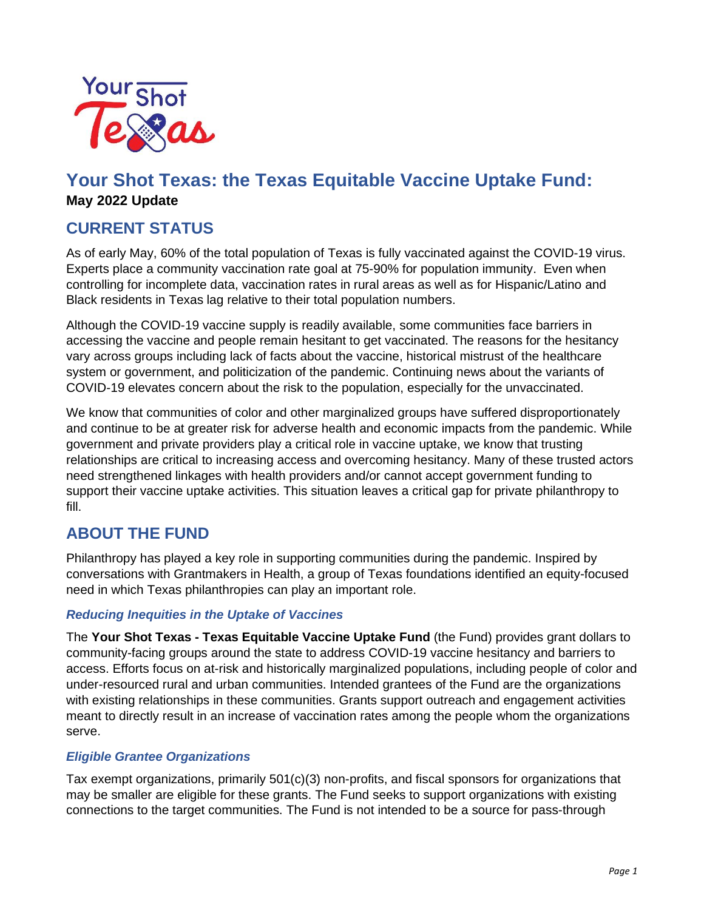

# **Your Shot Texas: the Texas Equitable Vaccine Uptake Fund: May 2022 Update**

## **CURRENT STATUS**

As of early May, 60% of the total population of Texas is fully vaccinated against the COVID-19 virus. Experts place a community vaccination rate goal at 75-90% for population immunity. Even when controlling for incomplete data, vaccination rates in rural areas as well as for Hispanic/Latino and Black residents in Texas lag relative to their total population numbers.

Although the COVID-19 vaccine supply is readily available, some communities face barriers in accessing the vaccine and people remain hesitant to get vaccinated. The reasons for the hesitancy vary across groups including lack of facts about the vaccine, historical mistrust of the healthcare system or government, and politicization of the pandemic. Continuing news about the variants of COVID-19 elevates concern about the risk to the population, especially for the unvaccinated.

We know that communities of color and other marginalized groups have suffered disproportionately and continue to be at greater risk for adverse health and economic impacts from the pandemic. While government and private providers play a critical role in vaccine uptake, we know that trusting relationships are critical to increasing access and overcoming hesitancy. Many of these trusted actors need strengthened linkages with health providers and/or cannot accept government funding to support their vaccine uptake activities. This situation leaves a critical gap for private philanthropy to fill.

### **ABOUT THE FUND**

Philanthropy has played a key role in supporting communities during the pandemic. Inspired by conversations with Grantmakers in Health, a group of Texas foundations identified an equity-focused need in which Texas philanthropies can play an important role.

#### *Reducing Inequities in the Uptake of Vaccines*

The **Your Shot Texas - Texas Equitable Vaccine Uptake Fund** (the Fund) provides grant dollars to community-facing groups around the state to address COVID-19 vaccine hesitancy and barriers to access. Efforts focus on at-risk and historically marginalized populations, including people of color and under-resourced rural and urban communities. Intended grantees of the Fund are the organizations with existing relationships in these communities. Grants support outreach and engagement activities meant to directly result in an increase of vaccination rates among the people whom the organizations serve.

#### *Eligible Grantee Organizations*

Tax exempt organizations, primarily 501(c)(3) non-profits, and fiscal sponsors for organizations that may be smaller are eligible for these grants. The Fund seeks to support organizations with existing connections to the target communities. The Fund is not intended to be a source for pass-through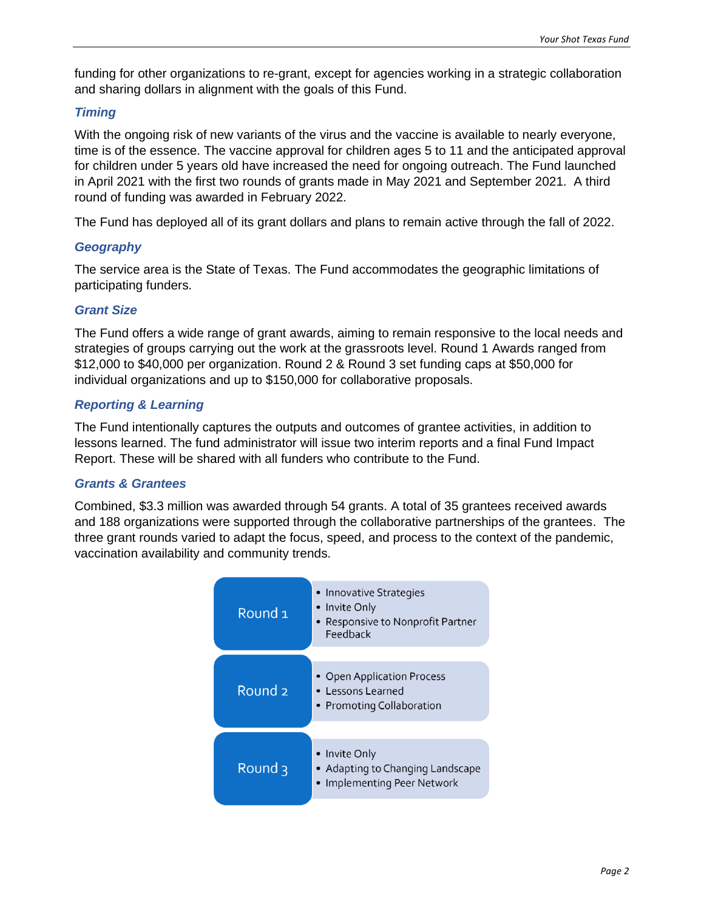funding for other organizations to re-grant, except for agencies working in a strategic collaboration and sharing dollars in alignment with the goals of this Fund.

#### *Timing*

With the ongoing risk of new variants of the virus and the vaccine is available to nearly everyone, time is of the essence. The vaccine approval for children ages 5 to 11 and the anticipated approval for children under 5 years old have increased the need for ongoing outreach. The Fund launched in April 2021 with the first two rounds of grants made in May 2021 and September 2021. A third round of funding was awarded in February 2022.

The Fund has deployed all of its grant dollars and plans to remain active through the fall of 2022.

#### *Geography*

The service area is the State of Texas. The Fund accommodates the geographic limitations of participating funders.

#### *Grant Size*

The Fund offers a wide range of grant awards, aiming to remain responsive to the local needs and strategies of groups carrying out the work at the grassroots level. Round 1 Awards ranged from \$12,000 to \$40,000 per organization. Round 2 & Round 3 set funding caps at \$50,000 for individual organizations and up to \$150,000 for collaborative proposals.

#### *Reporting & Learning*

The Fund intentionally captures the outputs and outcomes of grantee activities, in addition to lessons learned. The fund administrator will issue two interim reports and a final Fund Impact Report. These will be shared with all funders who contribute to the Fund.

#### *Grants & Grantees*

Combined, \$3.3 million was awarded through 54 grants. A total of 35 grantees received awards and 188 organizations were supported through the collaborative partnerships of the grantees. The three grant rounds varied to adapt the focus, speed, and process to the context of the pandemic, vaccination availability and community trends.

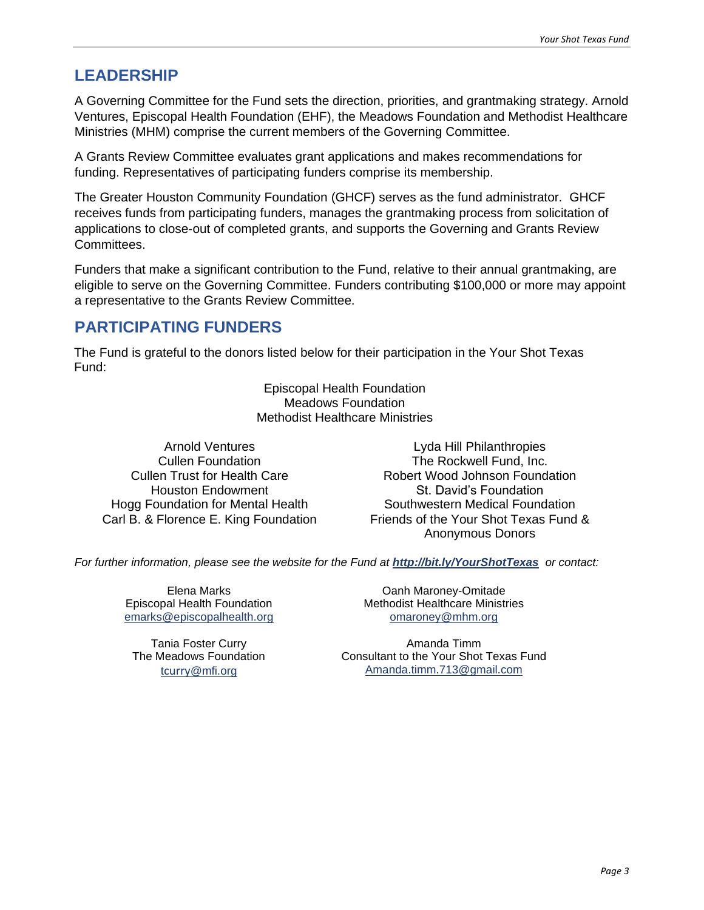### **LEADERSHIP**

A Governing Committee for the Fund sets the direction, priorities, and grantmaking strategy. Arnold Ventures, Episcopal Health Foundation (EHF), the Meadows Foundation and Methodist Healthcare Ministries (MHM) comprise the current members of the Governing Committee.

A Grants Review Committee evaluates grant applications and makes recommendations for funding. Representatives of participating funders comprise its membership.

The Greater Houston Community Foundation (GHCF) serves as the fund administrator. GHCF receives funds from participating funders, manages the grantmaking process from solicitation of applications to close-out of completed grants, and supports the Governing and Grants Review Committees.

Funders that make a significant contribution to the Fund, relative to their annual grantmaking, are eligible to serve on the Governing Committee. Funders contributing \$100,000 or more may appoint a representative to the Grants Review Committee.

## **PARTICIPATING FUNDERS**

The Fund is grateful to the donors listed below for their participation in the Your Shot Texas Fund:

> Episcopal Health Foundation Meadows Foundation Methodist Healthcare Ministries

Arnold Ventures Cullen Foundation Cullen Trust for Health Care Houston Endowment Hogg Foundation for Mental Health Carl B. & Florence E. King Foundation

Lyda Hill Philanthropies The Rockwell Fund, Inc. Robert Wood Johnson Foundation St. David's Foundation Southwestern Medical Foundation Friends of the Your Shot Texas Fund & Anonymous Donors

*For further information, please see the website for the Fund at <http://bit.ly/YourShotTexas> or contact:*

Elena Marks Episcopal Health Foundation [emarks@episcopalhealth.org](mailto:emarks@episcopalhealth.org)

Tania Foster Curry The Meadows Foundation tcurry[@mfi.org](mailto:tcurry@mfi.org)

Oanh Maroney-Omitade Methodist Healthcare Ministries [omaroney@mhm.org](mailto:omaroney@mhm.org)

Amanda Timm Consultant to the Your Shot Texas Fund [Amanda.timm.713@gmail.com](mailto:Amanda.timm.713@gmail.com)